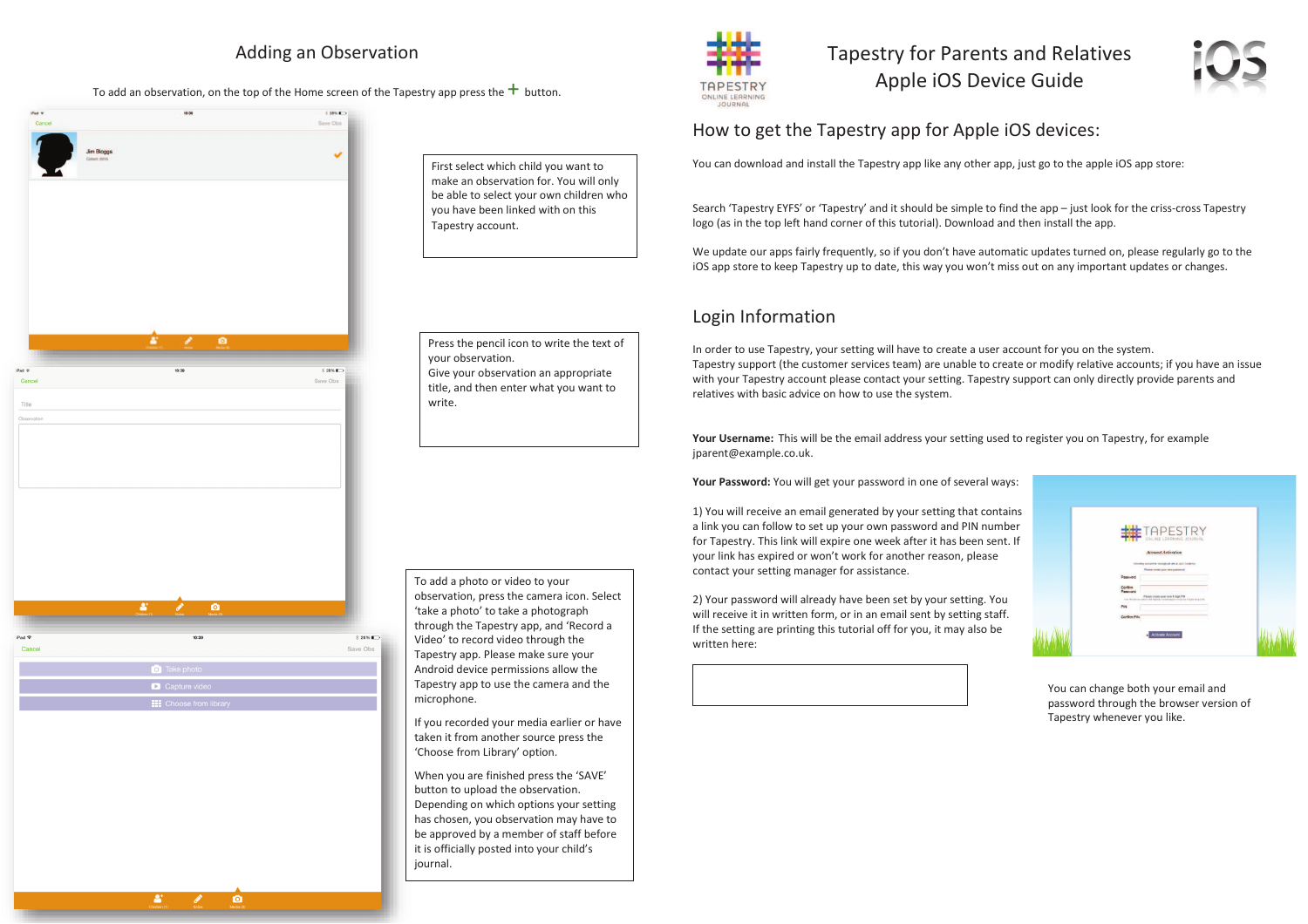## Adding an Observation

#### To add an observation, on the top of the Home screen of the Tapestry app press the  $+$  button.



First select which child you want to make an observation for. You will only be able to select your own children who you have been linked with on this Tapestry account.

Press the pencil icon to write the text of your observation. Give your observation an appropriate title, and then enter what you want to write.

To add a photo or video to your observation, press the camera icon. Select 'take a photo' to take a photograph through the Tapestry app, and 'Record a Video' to record video through the Tapestry app. Please make sure your Android device permissions allow the Tapestry app to use the camera and the microphone.

If you recorded your media earlier or have taken it from another source press the 'Choose from Library' option.

When you are finished press the 'SAVE'button to upload the observation. Depending on which options your setting has chosen, you observation may have to be approved by a member of staff before it is officially posted into your child's journal.



Tapestry for Parents and Relatives Apple iOS Device Guide



#### How to get the Tapestry app for Apple iOS devices:

You can download and install the Tapestry app like any other app, just go to the apple iOS app store:

Search 'Tapestry EYFS' or 'Tapestry' and it should be simple to find the app – just look for the criss-cross Tapestry logo (as in the top left hand corner of this tutorial). Download and then install the app.

We update our apps fairly frequently, so if you don't have automatic updates turned on, please regularly go to the iOS app store to keep Tapestry up to date, this way you won't miss out on any important updates or changes.

## Login Information

In order to use Tapestry, your setting will have to create a user account for you on the system. Tapestry support (the customer services team) are unable to create or modify relative accounts; if you have an issue with your Tapestry account please contact your setting. Tapestry support can only directly provide parents and relatives with basic advice on how to use the system.

**Your Username:** This will be the email address your setting used to register you on Tapestry, for example jparent@example.co.uk.

**Your Password:** You will get your password in one of several ways:

1) You will receive an email generated by your setting that contains a link you can follow to set up your own password and PIN number for Tapestry. This link will expire one week after it has been sent. If your link has expired or won't work for another reason, please contact your setting manager for assistance.

2) Your password will already have been set by your setting. You will receive it in written form, or in an email sent by setting staff. If the setting are printing this tutorial off for you, it may also be written here:



You can change both your email and password through the browser version of Tapestry whenever you like.

 $\bullet$